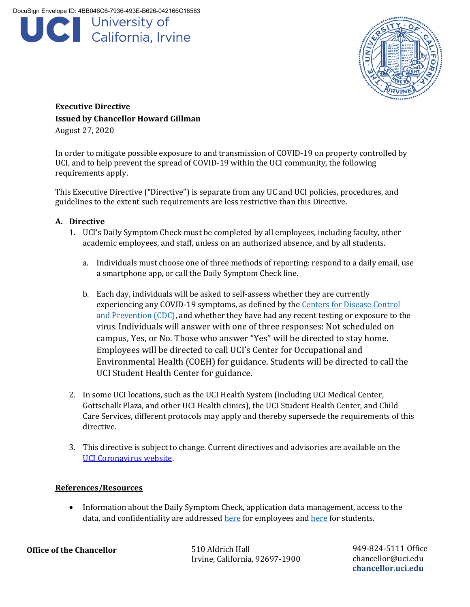



**Executive Directive Issued by Chancellor Howard Gillman**  August 27, 2020

In order to mitigate possible exposure to and transmission of COVID-19 on property controlled by UCI, and to help prevent the spread of COVID-19 within the UCI community, the following requirements apply.

This Executive Directive ("Directive") is separate from any UC and UCI policies, procedures, and guidelines to the extent such requirements are less restrictive than this Directive.

## **A. Directive**

- 1. UCI's Daily Symptom Check must be completed by all employees, including faculty, other academic employees, and staff, unless on an authorized absence, and by all students.
	- a. Individuals must choose one of three methods of reporting: respond to a daily email, use a smartphone app, or call the Daily Symptom Check line.
	- b. Each day, individuals will be asked to self-assess whether they are currently experiencing any COVID-19 symptoms, as defined by the [Centers for Disease Control](https://www.cdc.gov/coronavirus/2019-ncov/symptoms-testing/symptoms.html)  [and Prevention \(CDC\),](https://www.cdc.gov/coronavirus/2019-ncov/symptoms-testing/symptoms.html) and whether they have had any recent testing or exposure to the virus. Individuals will answer with one of three responses: Not scheduled on campus, Yes, or No. Those who answer "Yes" will be directed to stay home. Employees will be directed to call UCI's Center for Occupational and Environmental Health (COEH) for guidance. Students will be directed to call the UCI Student Health Center for guidance.
- 2. In some UCI locations, such as the UCI Health System (including UCI Medical Center, Gottschalk Plaza, and other UCI Health clinics), the UCI Student Health Center, and Child Care Services, different protocols may apply and thereby supersede the requirements of this directive.
- 3. This directive is subject to change. Current directives and advisories are available on the [UCI Coronavirus website.](https://uci.edu/coronavirus/)

## **References/Resources**

• Information about the Daily Symptom Check, application data management, access to the data, and confidentiality are addresse[d here](https://students.uci.edu/LWinstructions.pdf) for employees and here for students.

**Office of the Chancellor**

510 Aldrich Hall Irvine, California, 92697-1900 949-824-5111 Office chancellor@uci.edu **chancellor.uci.edu**